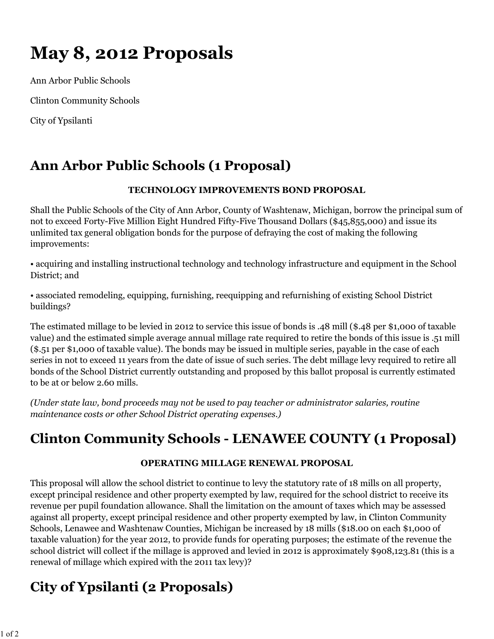# **May 8, 2012 Proposals**

Ann Arbor Public Schools Clinton Community Schools

City of Ypsilanti

## **Ann Arbor Public Schools (1 Proposal)**

### **TECHNOLOGY IMPROVEMENTS BOND PROPOSAL**

Shall the Public Schools of the City of Ann Arbor, County of Washtenaw, Michigan, borrow the principal sum of not to exceed Forty-Five Million Eight Hundred Fifty-Five Thousand Dollars (\$45,855,000) and issue its unlimited tax general obligation bonds for the purpose of defraying the cost of making the following improvements:

• acquiring and installing instructional technology and technology infrastructure and equipment in the School District; and

• associated remodeling, equipping, furnishing, reequipping and refurnishing of existing School District buildings?

The estimated millage to be levied in 2012 to service this issue of bonds is .48 mill (\$.48 per \$1,000 of taxable value) and the estimated simple average annual millage rate required to retire the bonds of this issue is .51 mill (\$.51 per \$1,000 of taxable value). The bonds may be issued in multiple series, payable in the case of each series in not to exceed 11 years from the date of issue of such series. The debt millage levy required to retire all bonds of the School District currently outstanding and proposed by this ballot proposal is currently estimated to be at or below 2.60 mills.

*(Under state law, bond proceeds may not be used to pay teacher or administrator salaries, routine maintenance costs or other School District operating expenses.)*

## **Clinton Community Schools - LENAWEE COUNTY (1 Proposal)**

### **OPERATING MILLAGE RENEWAL PROPOSAL**

This proposal will allow the school district to continue to levy the statutory rate of 18 mills on all property, except principal residence and other property exempted by law, required for the school district to receive its revenue per pupil foundation allowance. Shall the limitation on the amount of taxes which may be assessed against all property, except principal residence and other property exempted by law, in Clinton Community Schools, Lenawee and Washtenaw Counties, Michigan be increased by 18 mills (\$18.00 on each \$1,000 of taxable valuation) for the year 2012, to provide funds for operating purposes; the estimate of the revenue the school district will collect if the millage is approved and levied in 2012 is approximately \$908,123.81 (this is a renewal of millage which expired with the 2011 tax levy)?

# **City of Ypsilanti (2 Proposals)**